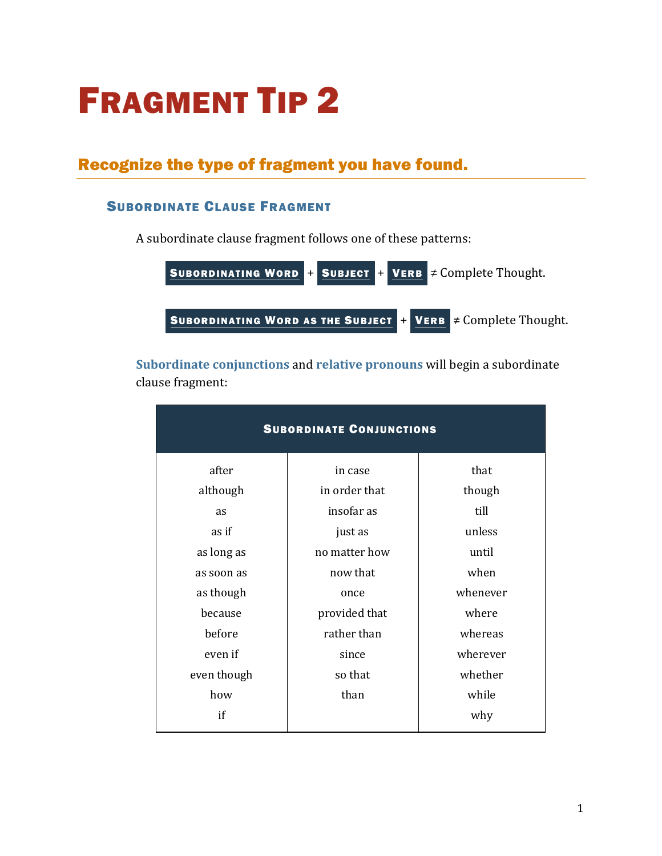# FRAGMENT TIP 2

# Recognize the type of fragment you have found.

# SUBORDINATE CLAUSE FRAGMENT

A subordinate clause fragment follows one of these patterns:

| SUBORDINATING WORD                | + | SUBJECT | +                        | VERB | $\neq$ Complete Thought. |
|-----------------------------------|---|---------|--------------------------|------|--------------------------|
| SUBORDINATING WORD AS THE SUBJECT | + | VERB    | $\neq$ Complete Thought. |      |                          |

**[Subordinate conjunctions](https://chompchomp.com/terms/subordinateconjunction.htm)** and **[relative pronouns](https://chompchomp.com/terms/relativepronoun.htm)** will begin a subordinate clause fragment:

| <b>SUBORDINATE CONJUNCTIONS</b> |               |          |  |
|---------------------------------|---------------|----------|--|
| after                           | in case       | that     |  |
| although                        | in order that | though   |  |
| as                              | insofar as    | till     |  |
| as if                           | just as       | unless   |  |
| as long as                      | no matter how | until    |  |
| as soon as                      | now that      | when     |  |
| as though                       | once          | whenever |  |
| because                         | provided that | where    |  |
| before                          | rather than   | whereas  |  |
| even if                         | since         | wherever |  |
| even though                     | so that       | whether  |  |
| how                             | than          | while    |  |
| if                              |               | why      |  |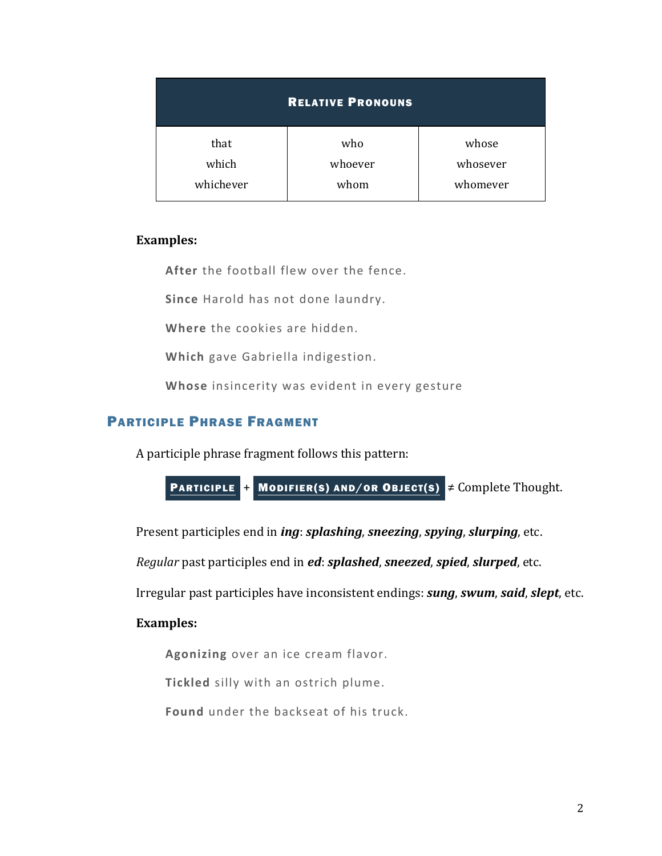| <b>RELATIVE PRONOUNS</b> |         |          |  |  |
|--------------------------|---------|----------|--|--|
| that                     | who     | whose    |  |  |
| which                    | whoever | whosever |  |  |
| whichever                | whom    | whomever |  |  |

#### **Examples:**

**After** the football flew over the fence.

**Since** Harold has not done laundry.

**Where** the cookies are hidden.

**Which** gave Gabriella indigestion.

**Whose** insincerity was evident in every gesture

#### PARTICIPLE PHRASE FRAGMENT

A participle phrase fragment follows this pattern:

PARTICIPLE <sup>+</sup> MODIFIER(s) AND/OR OBJECT(s) 
$$
\neq
$$
 Complete Thought.

Present participles end in *ing*: *splashing*, *sneezing*, *spying*, *slurping*, etc.

*Regular* past participles end in *ed*: *splashed*, *sneezed*, *spied*, *slurped*, etc.

Irregular past participles have inconsistent endings: *sung*, *swum*, *said*, *slept*, etc.

#### **Examples:**

**Agonizing** over an ice cream flavor.

**Tickled** silly with an ostrich plume.

**Found** under the backseat of his truck.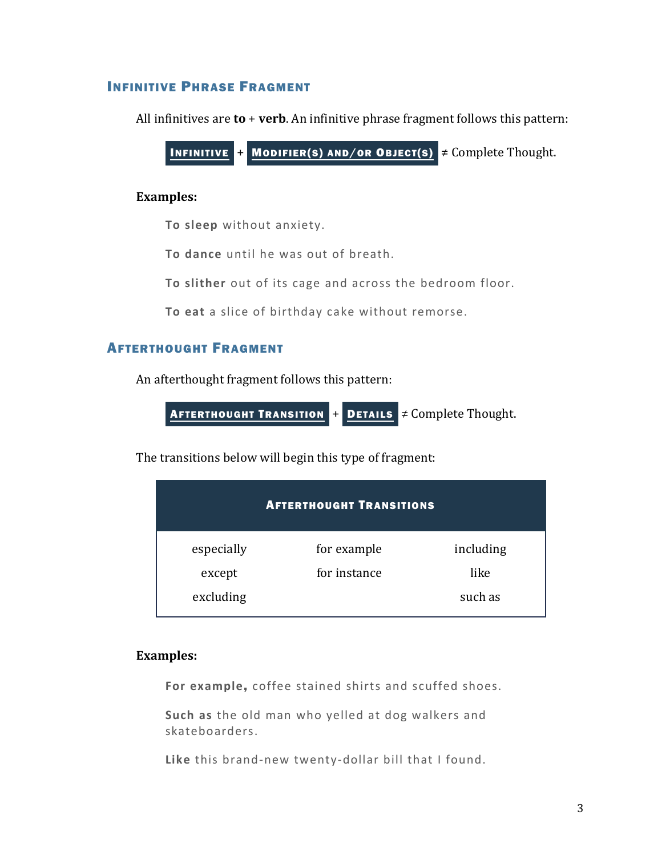# INFINITIVE PHRASE FRAGMENT

All infinitives are **to** + **verb**. An infinitive phrase fragment follows this pattern:

INFINITIVE  $+$  MODIFIER(S) AND/OR OBJECT(S)  $\neq$  Complete Thought.

#### **Examples:**

**To sleep** without anxiety.

**To dance** until he was out of breath.

**To slither** out of its cage and across the bedroom floor.

**To eat** a slice of birthday cake without remorse.

# AFTERTHOUGHT FRAGMENT

An afterthought fragment follows this pattern:

**AFTERTHOUGHT TRANSITION + DETAILS**  $\neq$  **Complete Thought.** 

The transitions below will begin this type of fragment:

| <b>AFTERTHOUGHT TRANSITIONS</b> |              |           |  |  |
|---------------------------------|--------------|-----------|--|--|
| especially                      | for example  | including |  |  |
| except                          | for instance | like      |  |  |
| excluding                       |              | such as   |  |  |

#### **Examples:**

**For example**, coffee stained shirts and scuffed shoes.

**Such as** the old man who yelled at dog walkers and skateboarders.

**Like** this brand-new twenty-dollar bill that I found.